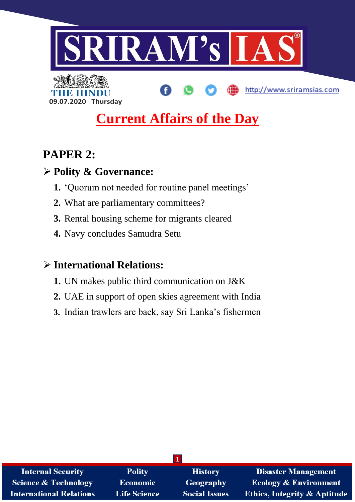

http://www.sriramsias.com

**09.07.2020 Thursday**

# **Current Affairs of the Day**

# **PAPER 2:**

# **Polity & Governance:**

- **1.** 'Quorum not needed for routine panel meetings'
- **2.** What are parliamentary committees?
- **3.** Rental housing scheme for migrants cleared
- **4.** Navy concludes Samudra Setu

# **International Relations:**

- **1.** UN makes public third communication on J&K
- **2.** UAE in support of open skies agreement with India
- **3.** Indian trawlers are back, say Sri Lanka's fishermen

| <b>Internal Security</b>        | <b>Polity</b>       | <b>History</b>       | <b>Disaster Management</b>              |
|---------------------------------|---------------------|----------------------|-----------------------------------------|
| <b>Science &amp; Technology</b> | Economic            | <b>Geography</b>     | <b>Ecology &amp; Environment</b>        |
| <b>International Relations</b>  | <b>Life Science</b> | <b>Social Issues</b> | <b>Ethics, Integrity &amp; Aptitude</b> |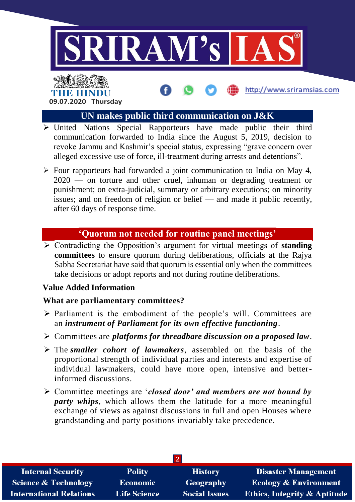

# THE HIN **09.07.2020 Thursday**

# **UN makes public third communication on J&K**

http://www.sriramsias.com

- $\triangleright$  United Nations Special Rapporteurs have made public their third communication forwarded to India since the August 5, 2019, decision to revoke Jammu and Kashmir's special status, expressing "grave concern over alleged excessive use of force, ill-treatment during arrests and detentions".
- $\triangleright$  Four rapporteurs had forwarded a joint communication to India on May 4, 2020 — on torture and other cruel, inhuman or degrading treatment or punishment; on extra-judicial, summary or arbitrary executions; on minority issues; and on freedom of religion or belief — and made it public recently, after 60 days of response time.

# **'Quorum not needed for routine panel meetings'**

 Contradicting the Opposition's argument for virtual meetings of **standing committees** to ensure quorum during deliberations, officials at the Rajya Sabha Secretariat have said that quorum is essential only when the committees take decisions or adopt reports and not during routine deliberations.

# **Value Added Information**

# **What are parliamentary committees?**

- $\triangleright$  Parliament is the embodiment of the people's will. Committees are an *instrument of Parliament for its own effective functioning*.
- Committees are *platforms for threadbare discussion on a proposed law*.
- The *smaller cohort of lawmakers*, assembled on the basis of the proportional strength of individual parties and interests and expertise of individual lawmakers, could have more open, intensive and betterinformed discussions.
- Committee meetings are '*closed door' and members are not bound by party whips*, which allows them the latitude for a more meaningful exchange of views as against discussions in full and open Houses where grandstanding and party positions invariably take precedence.

| <b>Internal Security</b>        | <b>Polity</b>       | <b>History</b>       | <b>Disaster Management</b>              |  |
|---------------------------------|---------------------|----------------------|-----------------------------------------|--|
| <b>Science &amp; Technology</b> | <b>Economic</b>     | Geography            | <b>Ecology &amp; Environment</b>        |  |
| <b>International Relations</b>  | <b>Life Science</b> | <b>Social Issues</b> | <b>Ethics, Integrity &amp; Aptitude</b> |  |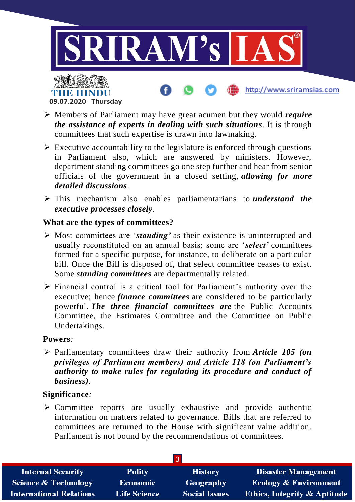

**09.07.2020 Thursday**

- Members of Parliament may have great acumen but they would *require the assistance of experts in dealing with such situations*. It is through committees that such expertise is drawn into lawmaking.
- $\triangleright$  Executive accountability to the legislature is enforced through questions in Parliament also, which are answered by ministers. However, department standing committees go one step further and hear from senior officials of the government in a closed setting, *allowing for more detailed discussions*.
- This mechanism also enables parliamentarians to *understand the executive processes closely*.

#### **What are the types of committees?**

- Most committees are '*standing'* as their existence is uninterrupted and usually reconstituted on an annual basis; some are '*select'* committees formed for a specific purpose, for instance, to deliberate on a particular bill. Once the Bill is disposed of, that select committee ceases to exist. Some *standing committees* are departmentally related.
- $\triangleright$  Financial control is a critical tool for Parliament's authority over the executive; hence *finance committees* are considered to be particularly powerful. *The three financial committees are* the Public Accounts Committee, the Estimates Committee and the Committee on Public Undertakings.

#### **Powers***:*

 Parliamentary committees draw their authority from *Article 105 (on privileges of Parliament members) and Article 118 (on Parliament's authority to make rules for regulating its procedure and conduct of business)*.

#### **Significance***:*

 $\triangleright$  Committee reports are usually exhaustive and provide authentic information on matters related to governance. Bills that are referred to committees are returned to the House with significant value addition. Parliament is not bound by the recommendations of committees.

| <b>Internal Security</b>        | <b>Polity</b>       | <b>History</b>       | <b>Disaster Management</b>              |
|---------------------------------|---------------------|----------------------|-----------------------------------------|
| <b>Science &amp; Technology</b> | <b>Economic</b>     | Geography            | <b>Ecology &amp; Environment</b>        |
| <b>International Relations</b>  | <b>Life Science</b> | <b>Social Issues</b> | <b>Ethics, Integrity &amp; Aptitude</b> |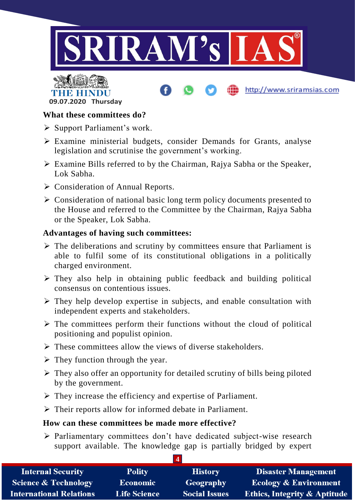





# **What these committees do?**

- $\triangleright$  Support Parliament's work.
- Examine ministerial budgets, consider Demands for Grants, analyse legislation and scrutinise the government's working.
- Examine Bills referred to by the Chairman, Rajya Sabha or the Speaker, Lok Sabha.
- Consideration of Annual Reports.
- $\triangleright$  Consideration of national basic long term policy documents presented to the House and referred to the Committee by the Chairman, Rajya Sabha or the Speaker, Lok Sabha.

# **Advantages of having such committees:**

- $\triangleright$  The deliberations and scrutiny by committees ensure that Parliament is able to fulfil some of its constitutional obligations in a politically charged environment.
- $\triangleright$  They also help in obtaining public feedback and building political consensus on contentious issues.
- $\triangleright$  They help develop expertise in subjects, and enable consultation with independent experts and stakeholders.
- $\triangleright$  The committees perform their functions without the cloud of political positioning and populist opinion.
- $\triangleright$  These committees allow the views of diverse stakeholders.
- $\triangleright$  They function through the year.
- $\triangleright$  They also offer an opportunity for detailed scrutiny of bills being piloted by the government.
- $\triangleright$  They increase the efficiency and expertise of Parliament.
- $\triangleright$  Their reports allow for informed debate in Parliament.

# **How can these committees be made more effective?**

 $\triangleright$  Parliamentary committees don't have dedicated subject-wise research support available. The knowledge gap is partially bridged by expert

| <b>Internal Security</b>        | <b>Polity</b>       | <b>History</b>       | <b>Disaster Management</b>              |
|---------------------------------|---------------------|----------------------|-----------------------------------------|
| <b>Science &amp; Technology</b> | Economic            | Geography            | <b>Ecology &amp; Environment</b>        |
| <b>International Relations</b>  | <b>Life Science</b> | <b>Social Issues</b> | <b>Ethics, Integrity &amp; Aptitude</b> |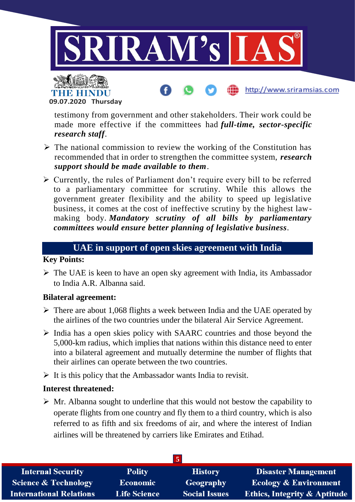



testimony from government and other stakeholders. Their work could be made more effective if the committees had *full-time, sector-specific research staff*.

http://www.sriramsias.com

- $\triangleright$  The national commission to review the working of the Constitution has recommended that in order to strengthen the committee system, *research support should be made available to them*.
- $\triangleright$  Currently, the rules of Parliament don't require every bill to be referred to a parliamentary committee for scrutiny. While this allows the government greater flexibility and the ability to speed up legislative business, it comes at the cost of ineffective scrutiny by the highest lawmaking body. *Mandatory scrutiny of all bills by parliamentary committees would ensure better planning of legislative business*.

# **UAE in support of open skies agreement with India**

# **Key Points:**

 $\triangleright$  The UAE is keen to have an open sky agreement with India, its Ambassador to India A.R. Albanna said.

# **Bilateral agreement:**

- $\triangleright$  There are about 1,068 flights a week between India and the UAE operated by the airlines of the two countries under the bilateral Air Service Agreement.
- $\triangleright$  India has a open skies policy with SAARC countries and those beyond the 5,000-km radius, which implies that nations within this distance need to enter into a bilateral agreement and mutually determine the number of flights that their airlines can operate between the two countries.
- $\triangleright$  It is this policy that the Ambassador wants India to revisit.

# **Interest threatened:**

 $\triangleright$  Mr. Albanna sought to underline that this would not bestow the capability to operate flights from one country and fly them to a third country, which is also referred to as fifth and six freedoms of air, and where the interest of Indian airlines will be threatened by carriers like Emirates and Etihad.

| <b>Internal Security</b>        | <b>Polity</b>       | <b>History</b>       | <b>Disaster Management</b>       |
|---------------------------------|---------------------|----------------------|----------------------------------|
| <b>Science &amp; Technology</b> | <b>Economic</b>     | Geography            | <b>Ecology &amp; Environment</b> |
| <b>International Relations</b>  | <b>Life Science</b> | <b>Social Issues</b> | Ethics, Integrity & Aptitude     |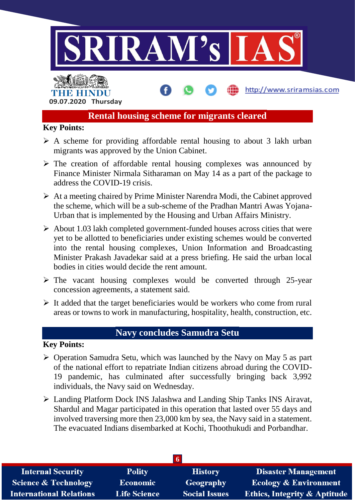

# **Rental housing scheme for migrants cleared**

### **Key Points:**

- $\triangleright$  A scheme for providing affordable rental housing to about 3 lakh urban migrants was approved by the Union Cabinet.
- $\triangleright$  The creation of affordable rental housing complexes was announced by Finance Minister Nirmala Sitharaman on May 14 as a part of the package to address the COVID-19 crisis.
- $\triangleright$  At a meeting chaired by Prime Minister Narendra Modi, the Cabinet approved the scheme, which will be a sub-scheme of the Pradhan Mantri Awas Yojana-Urban that is implemented by the Housing and Urban Affairs Ministry.
- $\triangleright$  About 1.03 lakh completed government-funded houses across cities that were yet to be allotted to beneficiaries under existing schemes would be converted into the rental housing complexes, Union Information and Broadcasting Minister Prakash Javadekar said at a press briefing. He said the urban local bodies in cities would decide the rent amount.
- $\triangleright$  The vacant housing complexes would be converted through 25-year concession agreements, a statement said.
- $\triangleright$  It added that the target beneficiaries would be workers who come from rural areas or towns to work in manufacturing, hospitality, health, construction, etc.

# **Navy concludes Samudra Setu**

#### **Key Points:**

- $\triangleright$  Operation Samudra Setu, which was launched by the Navy on May 5 as part of the national effort to repatriate Indian citizens abroad during the COVID-19 pandemic, has culminated after successfully bringing back 3,992 individuals, the Navy said on Wednesday.
- Landing Platform Dock INS Jalashwa and Landing Ship Tanks INS Airavat, Shardul and Magar participated in this operation that lasted over 55 days and involved traversing more then 23,000 km by sea, the Navy said in a statement. The evacuated Indians disembarked at Kochi, Thoothukudi and Porbandhar.

| <b>Internal Security</b>        | <b>Polity</b>       | <b>History</b>       | <b>Disaster Management</b>       |  |
|---------------------------------|---------------------|----------------------|----------------------------------|--|
| <b>Science &amp; Technology</b> | <b>Economic</b>     | Geography            | <b>Ecology &amp; Environment</b> |  |
| <b>International Relations</b>  | <b>Life Science</b> | <b>Social Issues</b> | Ethics, Integrity & Aptitude     |  |